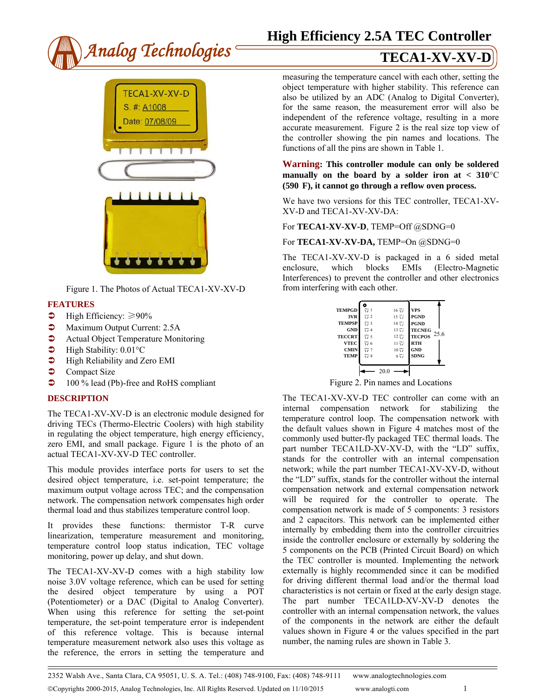

# **High Efficiency 2.5A TEC Controller**



Figure 1. The Photos of Actual TECA1-XV-XV-D

- **FEATURES**
- $\blacktriangleright$  High Efficiency:  $\geq 90\%$
- **Maximum Output Current: 2.5A**
- **•** Actual Object Temperature Monitoring
- $\blacktriangleright$  High Stability: 0.01 $\degree$ C
- $\bullet$  High Reliability and Zero EMI
- $\bullet$  Compact Size
- 100 % lead (Pb)-free and RoHS compliant

# **DESCRIPTION**

The TECA1-XV-XV-D is an electronic module designed for driving TECs (Thermo-Electric Coolers) with high stability in regulating the object temperature, high energy efficiency, zero EMI, and small package. Figure 1 is the photo of an actual TECA1-XV-XV-D TEC controller.

This module provides interface ports for users to set the desired object temperature, i.e. set-point temperature; the maximum output voltage across TEC; and the compensation network. The compensation network compensates high order thermal load and thus stabilizes temperature control loop.

It provides these functions: thermistor T-R curve linearization, temperature measurement and monitoring, temperature control loop status indication, TEC voltage monitoring, power up delay, and shut down.

The TECA1-XV-XV-D comes with a high stability low noise 3.0V voltage reference, which can be used for setting the desired object temperature by using a POT (Potentiometer) or a DAC (Digital to Analog Converter). When using this reference for setting the set-point temperature, the set-point temperature error is independent of this reference voltage. This is because internal temperature measurement network also uses this voltage as the reference, the errors in setting the temperature and

measuring the temperature cancel with each other, setting the object temperature with higher stability. This reference can also be utilized by an ADC (Analog to Digital Converter), for the same reason, the measurement error will also be independent of the reference voltage, resulting in a more accurate measurement. Figure 2 is the real size top view of the controller showing the pin names and locations. The functions of all the pins are shown in Table 1.

### **Warning: This controller module can only be soldered**  manually on the board by a solder iron at  $< 310^{\circ}$ C **(590 F), it cannot go through a reflow oven process.**

We have two versions for this TEC controller, TECA1-XV-XV-D and TECA1-XV-XV-DA:

For **TECA1-XV-XV-D**, TEMP=Off @SDNG=0

### For **TECA1-XV-XV-DA**, TEMP=On @SDNG=0

The TECA1-XV-XV-D is packaged in a 6 sided metal enclosure, which blocks EMIs (Electro-Magnetic Interferences) to prevent the controller and other electronics from interfering with each other.



Figure 2. Pin names and Locations

The TECA1-XV-XV-D TEC controller can come with an internal compensation network for stabilizing the temperature control loop. The compensation network with the default values shown in Figure 4 matches most of the commonly used butter-fly packaged TEC thermal loads. The part number TECA1LD-XV-XV-D, with the "LD" suffix, stands for the controller with an internal compensation network; while the part number TECA1-XV-XV-D, without the "LD" suffix, stands for the controller without the internal compensation network and external compensation network will be required for the controller to operate. The compensation network is made of 5 components: 3 resistors and 2 capacitors. This network can be implemented either internally by embedding them into the controller circuitries inside the controller enclosure or externally by soldering the 5 components on the PCB (Printed Circuit Board) on which the TEC controller is mounted. Implementing the network externally is highly recommended since it can be modified for driving different thermal load and/or the thermal load characteristics is not certain or fixed at the early design stage. The part number TECA1LD-XV-XV-D denotes the controller with an internal compensation network, the values of the components in the network are either the default values shown in Figure 4 or the values specified in the part number, the naming rules are shown in Table 3.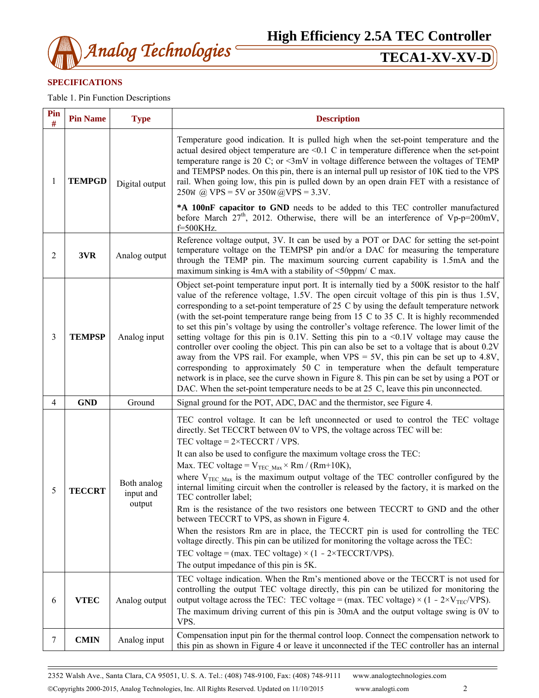

# **SPECIFICATIONS**

Table 1. Pin Function Descriptions

| Pin<br>#       | <b>Pin Name</b> | <b>Type</b>                        | <b>Description</b>                                                                                                                                                                                                                                                                                                                                                                                                                                                                                                                                                                                                                                                                                                                                                                                                                                                                                                                                                                                                                                             |  |  |  |  |  |
|----------------|-----------------|------------------------------------|----------------------------------------------------------------------------------------------------------------------------------------------------------------------------------------------------------------------------------------------------------------------------------------------------------------------------------------------------------------------------------------------------------------------------------------------------------------------------------------------------------------------------------------------------------------------------------------------------------------------------------------------------------------------------------------------------------------------------------------------------------------------------------------------------------------------------------------------------------------------------------------------------------------------------------------------------------------------------------------------------------------------------------------------------------------|--|--|--|--|--|
| 1              | <b>TEMPGD</b>   | Digital output                     | Temperature good indication. It is pulled high when the set-point temperature and the<br>actual desired object temperature are $\leq 0.1$ C in temperature difference when the set-point<br>temperature range is 20 C; or $\leq 3$ mV in voltage difference between the voltages of TEMP<br>and TEMPSP nodes. On this pin, there is an internal pull up resistor of 10K tied to the VPS<br>rail. When going low, this pin is pulled down by an open drain FET with a resistance of<br>250w @ VPS = 5V or 350w @ VPS = 3.3V.                                                                                                                                                                                                                                                                                                                                                                                                                                                                                                                                    |  |  |  |  |  |
|                |                 |                                    | *A 100nF capacitor to GND needs to be added to this TEC controller manufactured<br>before March $27th$ , 2012. Otherwise, there will be an interference of Vp-p=200mV,<br>f=500KHz.                                                                                                                                                                                                                                                                                                                                                                                                                                                                                                                                                                                                                                                                                                                                                                                                                                                                            |  |  |  |  |  |
| 2              | 3VR             | Analog output                      | Reference voltage output, 3V. It can be used by a POT or DAC for setting the set-point<br>temperature voltage on the TEMPSP pin and/or a DAC for measuring the temperature<br>through the TEMP pin. The maximum sourcing current capability is 1.5mA and the<br>maximum sinking is 4mA with a stability of <50ppm/ C max.                                                                                                                                                                                                                                                                                                                                                                                                                                                                                                                                                                                                                                                                                                                                      |  |  |  |  |  |
| 3              | <b>TEMPSP</b>   | Analog input                       | Object set-point temperature input port. It is internally tied by a 500K resistor to the half<br>value of the reference voltage, 1.5V. The open circuit voltage of this pin is thus 1.5V,<br>corresponding to a set-point temperature of 25 C by using the default temperature network<br>(with the set-point temperature range being from 15 C to 35 C. It is highly recommended<br>to set this pin's voltage by using the controller's voltage reference. The lower limit of the<br>setting voltage for this pin is $0.1V$ . Setting this pin to a <0.1V voltage may cause the<br>controller over cooling the object. This pin can also be set to a voltage that is about 0.2V<br>away from the VPS rail. For example, when VPS = $5V$ , this pin can be set up to 4.8V,<br>corresponding to approximately $50 \text{ C}$ in temperature when the default temperature<br>network is in place, see the curve shown in Figure 8. This pin can be set by using a POT or<br>DAC. When the set-point temperature needs to be at 25 C, leave this pin unconnected. |  |  |  |  |  |
| $\overline{4}$ | <b>GND</b>      | Ground                             | Signal ground for the POT, ADC, DAC and the thermistor, see Figure 4.                                                                                                                                                                                                                                                                                                                                                                                                                                                                                                                                                                                                                                                                                                                                                                                                                                                                                                                                                                                          |  |  |  |  |  |
| 5              | <b>TECCRT</b>   | Both analog<br>input and<br>output | TEC control voltage. It can be left unconnected or used to control the TEC voltage<br>directly. Set TECCRT between 0V to VPS, the voltage across TEC will be:<br>TEC voltage = $2 \times TECCRT / VPS$ .<br>It can also be used to configure the maximum voltage cross the TEC:<br>Max. TEC voltage = $V_{TEC Max} \times Rm / (Rm+10K)$ ,<br>where $V_{TEC Max}$ is the maximum output voltage of the TEC controller configured by the<br>internal limiting circuit when the controller is released by the factory, it is marked on the<br>TEC controller label;<br>Rm is the resistance of the two resistors one between TECCRT to GND and the other<br>between TECCRT to VPS, as shown in Figure 4.<br>When the resistors Rm are in place, the TECCRT pin is used for controlling the TEC<br>voltage directly. This pin can be utilized for monitoring the voltage across the TEC:<br>TEC voltage = (max. TEC voltage) $\times$ (1 - 2×TECCRT/VPS).<br>The output impedance of this pin is 5K.                                                              |  |  |  |  |  |
| 6              | <b>VTEC</b>     | Analog output                      | TEC voltage indication. When the Rm's mentioned above or the TECCRT is not used for<br>controlling the output TEC voltage directly, this pin can be utilized for monitoring the<br>output voltage across the TEC: TEC voltage = (max. TEC voltage) $\times$ (1 - 2×V <sub>TEC</sub> /VPS).<br>The maximum driving current of this pin is 30mA and the output voltage swing is 0V to<br>VPS.                                                                                                                                                                                                                                                                                                                                                                                                                                                                                                                                                                                                                                                                    |  |  |  |  |  |
| 7              | <b>CMIN</b>     | Analog input                       | Compensation input pin for the thermal control loop. Connect the compensation network to<br>this pin as shown in Figure 4 or leave it unconnected if the TEC controller has an internal                                                                                                                                                                                                                                                                                                                                                                                                                                                                                                                                                                                                                                                                                                                                                                                                                                                                        |  |  |  |  |  |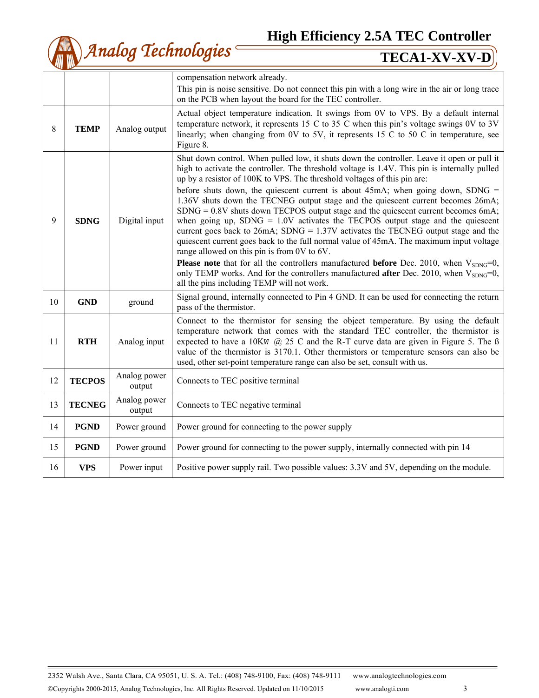**High Efficiency 2.5A TEC Controller**



|    |               |                        | compensation network already.                                                                                                                                                                                                                                                                                                                                                                                                                                                                                                                                                                                                                                                                                                                                                                                                                                                                                                                                                                                                                                                                                                 |  |  |  |  |  |
|----|---------------|------------------------|-------------------------------------------------------------------------------------------------------------------------------------------------------------------------------------------------------------------------------------------------------------------------------------------------------------------------------------------------------------------------------------------------------------------------------------------------------------------------------------------------------------------------------------------------------------------------------------------------------------------------------------------------------------------------------------------------------------------------------------------------------------------------------------------------------------------------------------------------------------------------------------------------------------------------------------------------------------------------------------------------------------------------------------------------------------------------------------------------------------------------------|--|--|--|--|--|
|    |               |                        | This pin is noise sensitive. Do not connect this pin with a long wire in the air or long trace                                                                                                                                                                                                                                                                                                                                                                                                                                                                                                                                                                                                                                                                                                                                                                                                                                                                                                                                                                                                                                |  |  |  |  |  |
|    |               |                        | on the PCB when layout the board for the TEC controller.                                                                                                                                                                                                                                                                                                                                                                                                                                                                                                                                                                                                                                                                                                                                                                                                                                                                                                                                                                                                                                                                      |  |  |  |  |  |
| 8  | <b>TEMP</b>   | Analog output          | Actual object temperature indication. It swings from 0V to VPS. By a default internal<br>temperature network, it represents 15 C to 35 C when this pin's voltage swings $0V$ to $3V$<br>linearly; when changing from 0V to 5V, it represents 15 C to 50 C in temperature, see<br>Figure 8.                                                                                                                                                                                                                                                                                                                                                                                                                                                                                                                                                                                                                                                                                                                                                                                                                                    |  |  |  |  |  |
| 9  | <b>SDNG</b>   | Digital input          | Shut down control. When pulled low, it shuts down the controller. Leave it open or pull it<br>high to activate the controller. The threshold voltage is 1.4V. This pin is internally pulled<br>up by a resistor of 100K to VPS. The threshold voltages of this pin are:<br>before shuts down, the quiescent current is about 45mA; when going down, SDNG $=$<br>1.36V shuts down the TECNEG output stage and the quiescent current becomes 26mA;<br>$SDNG = 0.8V$ shuts down TECPOS output stage and the quiescent current becomes 6mA;<br>when going up, SDNG = $1.0V$ activates the TECPOS output stage and the quiescent<br>current goes back to $26mA$ ; SDNG = 1.37V activates the TECNEG output stage and the<br>quiescent current goes back to the full normal value of 45mA. The maximum input voltage<br>range allowed on this pin is from 0V to 6V.<br><b>Please note</b> that for all the controllers manufactured <b>before</b> Dec. 2010, when $V_{SDNG}=0$ ,<br>only TEMP works. And for the controllers manufactured after Dec. 2010, when V <sub>SDNG</sub> =0,<br>all the pins including TEMP will not work. |  |  |  |  |  |
| 10 | <b>GND</b>    | ground                 | Signal ground, internally connected to Pin 4 GND. It can be used for connecting the return<br>pass of the thermistor.                                                                                                                                                                                                                                                                                                                                                                                                                                                                                                                                                                                                                                                                                                                                                                                                                                                                                                                                                                                                         |  |  |  |  |  |
| 11 | <b>RTH</b>    | Analog input           | Connect to the thermistor for sensing the object temperature. By using the default<br>temperature network that comes with the standard TEC controller, the thermistor is<br>expected to have a 10KW $\omega$ 25 C and the R-T curve data are given in Figure 5. The B<br>value of the thermistor is 3170.1. Other thermistors or temperature sensors can also be<br>used, other set-point temperature range can also be set, consult with us.                                                                                                                                                                                                                                                                                                                                                                                                                                                                                                                                                                                                                                                                                 |  |  |  |  |  |
| 12 | <b>TECPOS</b> | Analog power<br>output | Connects to TEC positive terminal                                                                                                                                                                                                                                                                                                                                                                                                                                                                                                                                                                                                                                                                                                                                                                                                                                                                                                                                                                                                                                                                                             |  |  |  |  |  |
| 13 | <b>TECNEG</b> | Analog power<br>output | Connects to TEC negative terminal                                                                                                                                                                                                                                                                                                                                                                                                                                                                                                                                                                                                                                                                                                                                                                                                                                                                                                                                                                                                                                                                                             |  |  |  |  |  |
| 14 | <b>PGND</b>   | Power ground           | Power ground for connecting to the power supply                                                                                                                                                                                                                                                                                                                                                                                                                                                                                                                                                                                                                                                                                                                                                                                                                                                                                                                                                                                                                                                                               |  |  |  |  |  |
| 15 | <b>PGND</b>   | Power ground           | Power ground for connecting to the power supply, internally connected with pin 14                                                                                                                                                                                                                                                                                                                                                                                                                                                                                                                                                                                                                                                                                                                                                                                                                                                                                                                                                                                                                                             |  |  |  |  |  |
| 16 | <b>VPS</b>    | Power input            | Positive power supply rail. Two possible values: 3.3V and 5V, depending on the module.                                                                                                                                                                                                                                                                                                                                                                                                                                                                                                                                                                                                                                                                                                                                                                                                                                                                                                                                                                                                                                        |  |  |  |  |  |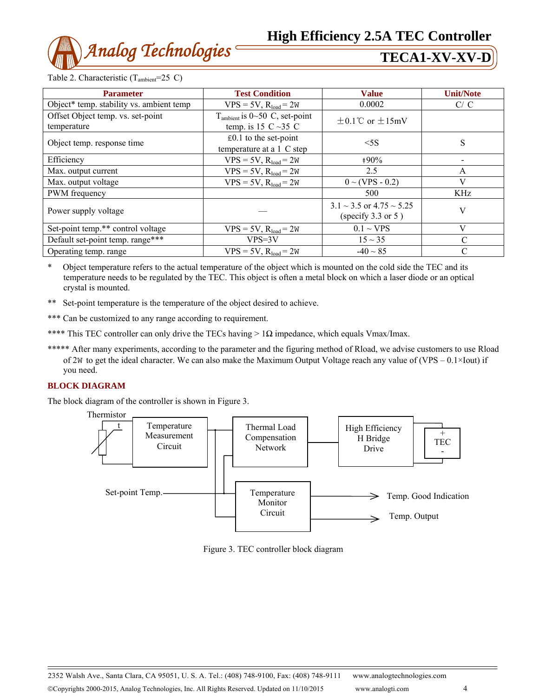

Table 2. Characteristic  $(T_{\text{ambient}}=25 \text{ C})$ 

| <b>Parameter</b>                                 | <b>Test Condition</b>                                                  | <b>Value</b>                                                  | <b>Unit/Note</b> |
|--------------------------------------------------|------------------------------------------------------------------------|---------------------------------------------------------------|------------------|
| Object* temp. stability vs. ambient temp         | $VPS = 5V$ , $R_{load} = 2W$                                           | 0.0002                                                        | C/C              |
| Offset Object temp. vs. set-point<br>temperature | $T_{\text{ambient}}$ is 0~50 C, set-point<br>temp. is 15 $C \sim 35 C$ | $\pm$ 0.1°C or $\pm$ 15mV                                     |                  |
| Object temp. response time                       | $\text{\pounds}0.1$ to the set-point<br>temperature at a 1 C step      | $<$ 5S                                                        | S                |
| Efficiency                                       | $VPS = 5V$ , $R_{load} = 2W$                                           | $+90\%$                                                       |                  |
| Max. output current                              | $VPS = 5V$ , $R_{load} = 2W$                                           | 2.5                                                           | A                |
| Max. output voltage                              | $VPS = 5V$ , $R_{load} = 2W$                                           | $0 \sim (VPS - 0.2)$                                          | V                |
| PWM frequency                                    |                                                                        | 500                                                           | KHz              |
| Power supply voltage                             |                                                                        | $3.1 \sim 3.5$ or $4.75 \sim 5.25$<br>(specify $3.3$ or $5$ ) | V                |
| Set-point temp.** control voltage                | $VPS = 5V$ , $R_{load} = 2W$                                           | $0.1 \sim VPS$                                                | V                |
| Default set-point temp. range***                 | $VPS=3V$                                                               | $15 \sim 35$                                                  | $\mathcal{C}$    |
| Operating temp. range                            | $VPS = 5V$ , $R_{load} = 2W$                                           | $-40 \sim 85$                                                 | $\mathcal{C}$    |

\* Object temperature refers to the actual temperature of the object which is mounted on the cold side the TEC and its temperature needs to be regulated by the TEC. This object is often a metal block on which a laser diode or an optical crystal is mounted.

- \*\* Set-point temperature is the temperature of the object desired to achieve.
- \*\*\* Can be customized to any range according to requirement.
- \*\*\*\* This TEC controller can only drive the TECs having >  $1\Omega$  impedance, which equals Vmax/Imax.
- \*\*\*\*\* After many experiments, according to the parameter and the figuring method of Rload, we advise customers to use Rload of 2W to get the ideal character. We can also make the Maximum Output Voltage reach any value of (VPS –  $0.1 \times 10^{11}$ ) if you need.

### **BLOCK DIAGRAM**

The block diagram of the controller is shown in Figure 3.



Figure 3. TEC controller block diagram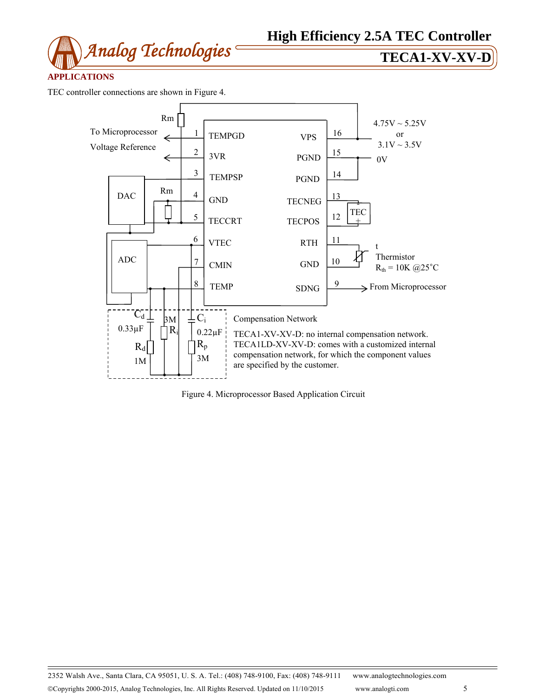

# **APPLICATIONS**

TEC controller connections are shown in Figure 4.



Figure 4. Microprocessor Based Application Circuit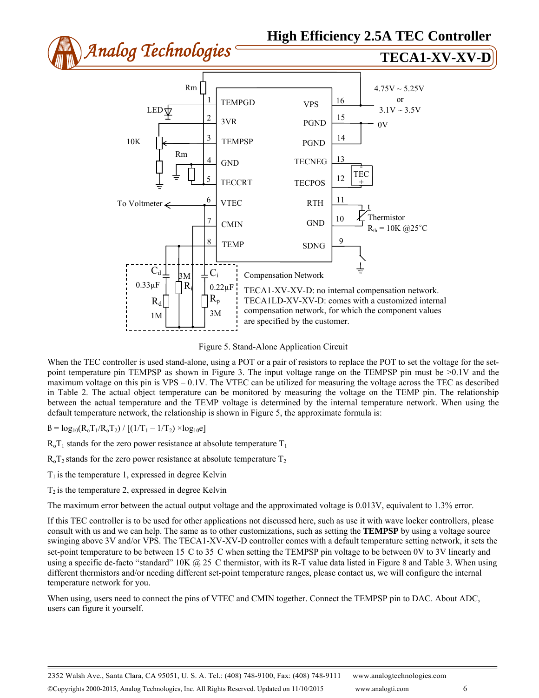

Figure 5. Stand-Alone Application Circuit

When the TEC controller is used stand-alone, using a POT or a pair of resistors to replace the POT to set the voltage for the setpoint temperature pin TEMPSP as shown in Figure 3. The input voltage range on the TEMPSP pin must be >0.1V and the maximum voltage on this pin is  $VPS - 0.1V$ . The VTEC can be utilized for measuring the voltage across the TEC as described in Table 2. The actual object temperature can be monitored by measuring the voltage on the TEMP pin. The relationship between the actual temperature and the TEMP voltage is determined by the internal temperature network. When using the default temperature network, the relationship is shown in Figure 5, the approximate formula is:

 $\beta = \log_{10}(R_0T_1/R_0T_2) / [(1/T_1 - 1/T_2) \times \log_{10}e]$ 

 $R_0T_1$  stands for the zero power resistance at absolute temperature  $T_1$ 

 $R_0T_2$  stands for the zero power resistance at absolute temperature  $T_2$ 

 $T_1$  is the temperature 1, expressed in degree Kelvin

 $T_2$  is the temperature 2, expressed in degree Kelvin

The maximum error between the actual output voltage and the approximated voltage is 0.013V, equivalent to 1.3% error.

If this TEC controller is to be used for other applications not discussed here, such as use it with wave locker controllers, please consult with us and we can help. The same as to other customizations, such as setting the **TEMPSP** by using a voltage source swinging above 3V and/or VPS. The TECA1-XV-XV-D controller comes with a default temperature setting network, it sets the set-point temperature to be between 15 C to 35 C when setting the TEMPSP pin voltage to be between 0V to 3V linearly and using a specific de-facto "standard"  $10K \ (\partial) 25$  C thermistor, with its R-T value data listed in Figure 8 and Table 3. When using different thermistors and/or needing different set-point temperature ranges, please contact us, we will configure the internal temperature network for you.

When using, users need to connect the pins of VTEC and CMIN together. Connect the TEMPSP pin to DAC. About ADC, users can figure it yourself.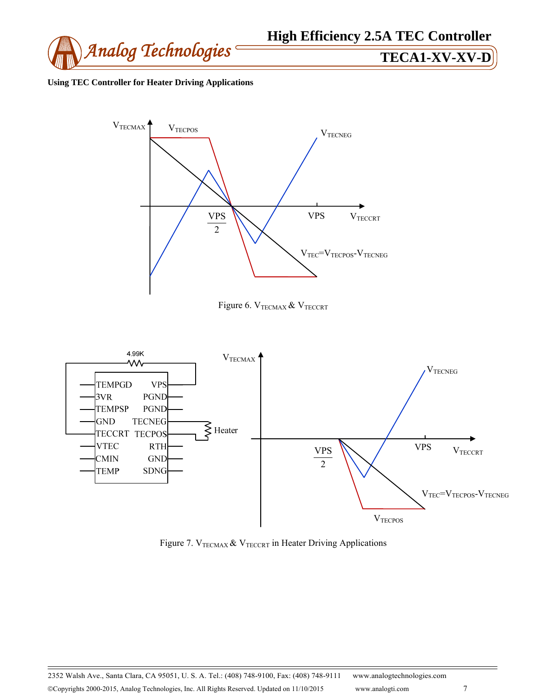

# **Using TEC Controller for Heater Driving Applications**







Figure 7.  $V_{TECMAX}$  &  $V_{TECCRT}$  in Heater Driving Applications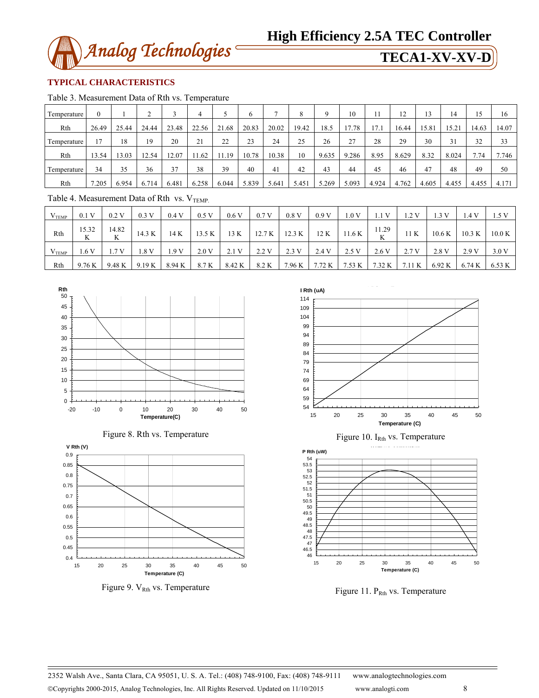

# **TYPICAL CHARACTERISTICS**

Table 3. Measurement Data of Rth vs. Temperature

| Temperature            | $\mathbf{0}$ |       | ◠<br>∠ |       | 4     |       | O     |       | 8     | Q     | 10    |       | 12    | 13    | 14    | 15    | 16    |
|------------------------|--------------|-------|--------|-------|-------|-------|-------|-------|-------|-------|-------|-------|-------|-------|-------|-------|-------|
| Rth                    | 26.49        | 25.44 | 24.44  | 23.48 | 22.56 | 21.68 | 20.83 | 20.02 | 19.42 | 18.5  | 17.78 | 17.1  | 16.44 | 15.81 | 15.21 | 14.63 | 14.07 |
| Temperature            | 17           | 18    | 19     | 20    | 21    | 22    | 23    | 24    | 25    | 26    | 27    | 28    | 29    | 30    | 31    | 32    | 33    |
| Rth                    | 13.54        | 3.03  | 12.54  | 12.07 | 1.62  | 1.19  | 10.78 | 10.38 | 10    | 9.635 | 9.286 | 8.95  | 8.629 | 8.32  | 8.024 | 7.74  | 7.746 |
| Temperature            | 34           | 35    | 36     | 37    | 38    | 39    | 40    | 41    | 42    | 43    | 44    | 45    | 46    | 47    | 48    | 49    | 50    |
| Rth                    | 7.205        | 6.954 | 6.714  | 6.481 | 6.258 | 6.044 | 5.839 | 5.641 | 5.451 | 5.269 | 5.093 | 4.924 | 4.762 | 4.605 | 4.455 | 4.455 | 4.171 |
| ______<br>$-1$<br>$ -$ |              |       |        |       |       |       |       |       |       |       |       |       |       |       |       |       |       |

Table 4. Measurement Data of Rth vs.  $V_{\text{TEMP}}$ 

| V <sub>TEMP</sub> | 0.1V       | 0.2V       | 0.3 V           | 0.4V   | 0.5V   | 0.6V   | 0.7V   | 0.8V   | 0.9V  | 1.0 V         | 1.1 V | 1.2 V | 1.3 V                                               | . .4 V | 1.5 V              |
|-------------------|------------|------------|-----------------|--------|--------|--------|--------|--------|-------|---------------|-------|-------|-----------------------------------------------------|--------|--------------------|
| Rth               | 15.32<br>K | 14.82<br>K | 14.3 K          | 14 K   | 13.5 K | 13 K   | 12.7 K | 12.3 K |       | $12 K$ 11.6 K | 11.29 | 11K   | $10.6\,\mathrm{K}$                                  | 10.3 K | $10.0\,\mathrm{K}$ |
| V <sub>TEMP</sub> | 1.6V       | 1.7 V      | .8 V            | 1.9V   | 2.0V   | 2.1 V  | 2.2 V  | 2.3V   | 2.4 V | 2.5 V         | 2.6 V | 2.7 V | 2.8 V                                               | 2.9 V  | 3.0 V              |
| Rth               | 9.76 K     |            | $9.48 K$ 9.19 K | 8.94 K | 8.7 K  | 8.42 K | 8.2 K  |        |       |               |       |       | 7.96 K   7.72 K   7.53 K   7.32 K   7.11 K   6.92 K | 6.74 K | 6.53 K             |







Figure 9. V<sub>Rth</sub> vs. Temperature



Figure 10.  $I<sub>Rth</sub>$  vs. Temperature



Figure 11. P<sub>Rth</sub> vs. Temperature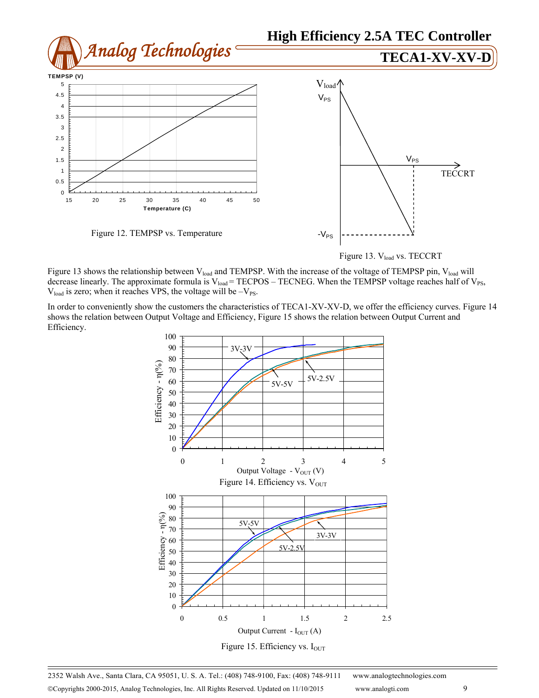

Figure 13. Vload vs. TECCRT

Figure 13 shows the relationship between V<sub>load</sub> and TEMPSP. With the increase of the voltage of TEMPSP pin, V<sub>load</sub> will decrease linearly. The approximate formula is  $V_{load}$  = TECPOS – TECNEG. When the TEMPSP voltage reaches half of  $V_{PS}$ ,  $V_{load}$  is zero; when it reaches VPS, the voltage will be  $-V_{PS}$ .

In order to conveniently show the customers the characteristics of TECA1-XV-XV-D, we offer the efficiency curves. Figure 14 shows the relation between Output Voltage and Efficiency, Figure 15 shows the relation between Output Current and Efficiency.



2352 Walsh Ave., Santa Clara, CA 95051, U. S. A. Tel.: (408) 748-9100, Fax: (408) 748-9111 www.analogtechnologies.com ©Copyrights 2000-2015, Analog Technologies, Inc. All Rights Reserved. Updated on 11/10/2015 www.analogti.com 9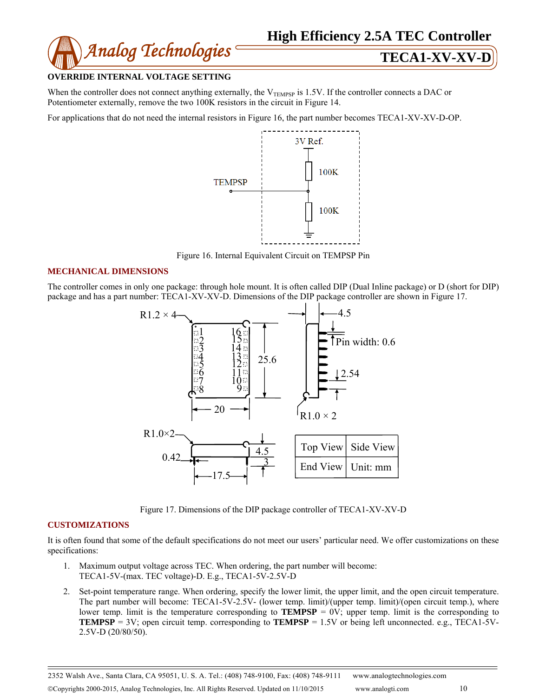

### **OVERRIDE INTERNAL VOLTAGE SETTING**

When the controller does not connect anything externally, the  $V_{TEMPSP}$  is 1.5V. If the controller connects a DAC or Potentiometer externally, remove the two 100K resistors in the circuit in Figure 14.

For applications that do not need the internal resistors in Figure 16, the part number becomes TECA1-XV-XV-D-OP.



Figure 16. Internal Equivalent Circuit on TEMPSP Pin

# **MECHANICAL DIMENSIONS**

The controller comes in only one package: through hole mount. It is often called DIP (Dual Inline package) or D (short for DIP) package and has a part number: TECA1-XV-XV-D. Dimensions of the DIP package controller are shown in Figure 17.



Figure 17. Dimensions of the DIP package controller of TECA1-XV-XV-D

### **CUSTOMIZATIONS**

It is often found that some of the default specifications do not meet our users' particular need. We offer customizations on these specifications:

- 1. Maximum output voltage across TEC. When ordering, the part number will become: TECA1-5V-(max. TEC voltage)-D. E.g., TECA1-5V-2.5V-D
- 2. Set-point temperature range. When ordering, specify the lower limit, the upper limit, and the open circuit temperature. The part number will become: TECA1-5V-2.5V- (lower temp. limit)/(upper temp. limit)/(open circuit temp.), where lower temp. limit is the temperature corresponding to **TEMPSP** =  $0V$ ; upper temp. limit is the corresponding to **TEMPSP** = 3V; open circuit temp. corresponding to **TEMPSP** =  $1.5V$  or being left unconnected. e.g., TECA1-5V-2.5V-D (20/80/50).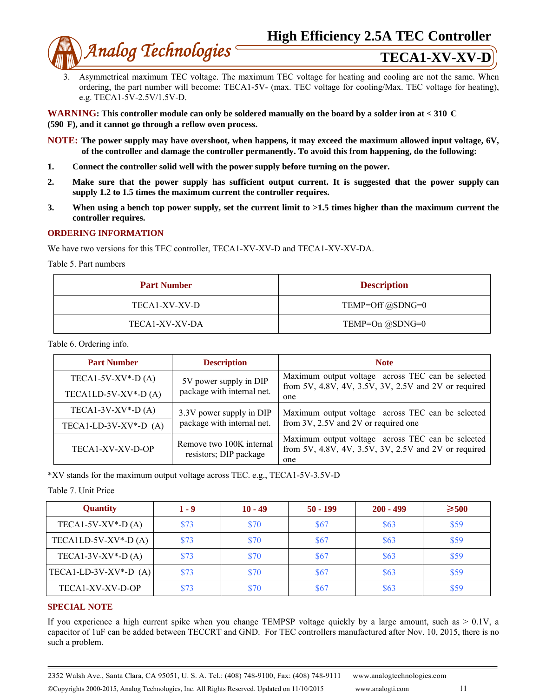

3. Asymmetrical maximum TEC voltage. The maximum TEC voltage for heating and cooling are not the same. When ordering, the part number will become: TECA1-5V- (max. TEC voltage for cooling/Max. TEC voltage for heating), e.g. TECA1-5V-2.5V/1.5V-D.

**WARNING: This controller module can only be soldered manually on the board by a solder iron at < 310 C (590 F), and it cannot go through a reflow oven process.** 

**NOTE: The power supply may have overshoot, when happens, it may exceed the maximum allowed input voltage, 6V, of the controller and damage the controller permanently. To avoid this from happening, do the following:** 

- **1. Connect the controller solid well with the power supply before turning on the power.**
- **2. Make sure that the power supply has sufficient output current. It is suggested that the power supply can supply 1.2 to 1.5 times the maximum current the controller requires.**
- **3. When using a bench top power supply, set the current limit to >1.5 times higher than the maximum current the controller requires.**

### **ORDERING INFORMATION**

We have two versions for this TEC controller, TECA1-XV-XV-D and TECA1-XV-XV-DA.

Table 5. Part numbers

| <b>Part Number</b> | <b>Description</b> |
|--------------------|--------------------|
| TECA1-XV-XV-D      | TEMP=Off @SDNG=0   |
| TECA1-XV-XV-DA     | TEMP=On @SDNG=0    |

Table 6. Ordering info.

| <b>Part Number</b>      | <b>Description</b>                                 | <b>Note</b>                                                                                                      |  |  |  |  |
|-------------------------|----------------------------------------------------|------------------------------------------------------------------------------------------------------------------|--|--|--|--|
| TECA1-5V-XV $*$ -D(A)   | 5V power supply in DIP                             | Maximum output voltage across TEC can be selected                                                                |  |  |  |  |
| TECA1LD-5V-XV $*$ -D(A) | package with internal net.                         | from 5V, 4.8V, 4V, 3.5V, 3V, 2.5V and 2V or required<br>one                                                      |  |  |  |  |
| TECA1-3V-XV $*$ -D(A)   | 3.3V power supply in DIP                           | Maximum output voltage across TEC can be selected                                                                |  |  |  |  |
| TECA1-LD-3V-XV*-D $(A)$ | package with internal net.                         | from 3V, 2.5V and 2V or required one                                                                             |  |  |  |  |
| TECA1-XV-XV-D-OP        | Remove two 100K internal<br>resistors; DIP package | Maximum output voltage across TEC can be selected<br>from 5V, 4.8V, 4V, 3.5V, 3V, 2.5V and 2V or required<br>one |  |  |  |  |

\*XV stands for the maximum output voltage across TEC. e.g., TECA1-5V-3.5V-D

Table 7. Unit Price

| <b>Quantity</b>         | 1 - 9 | $10 - 49$ | $50 - 199$ | $200 - 499$ | $\geqslant 500$ |
|-------------------------|-------|-----------|------------|-------------|-----------------|
| TECA1-5V-XV $*$ -D(A)   | \$73  | \$70      | \$67       | \$63        | \$59            |
| TECA1LD-5V-XV $*$ -D(A) | \$73  | \$70      | \$67       | \$63        | \$59            |
| TECA1-3V-XV $*$ -D(A)   | \$73  | \$70      | \$67       | \$63        | \$59            |
| TECA1-LD-3V-XV*-D $(A)$ | \$73  | \$70      | \$67       | \$63        | \$59            |
| TECA1-XV-XV-D-OP        | \$73  | \$70      | \$67       | \$63        | \$59            |

### **SPECIAL NOTE**

If you experience a high current spike when you change TEMPSP voltage quickly by a large amount, such as  $> 0.1V$ , a capacitor of 1uF can be added between TECCRT and GND. For TEC controllers manufactured after Nov. 10, 2015, there is no such a problem.